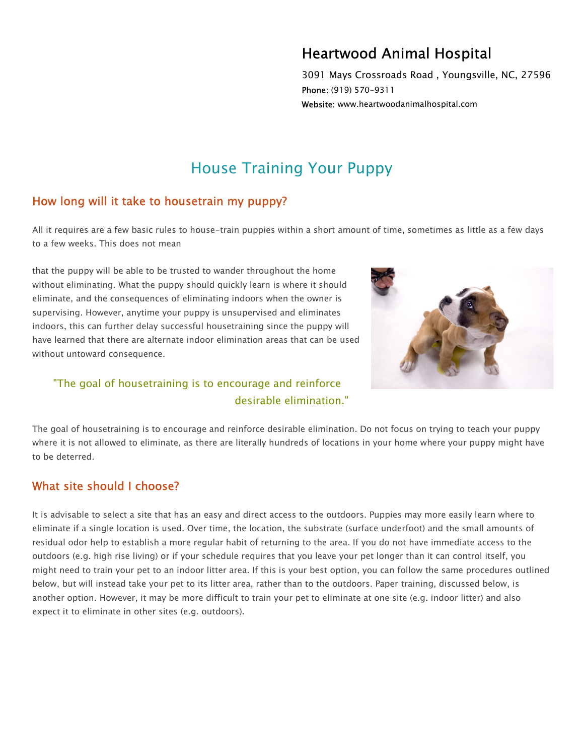## Heartwood Animal Hospital

3091 Mays Crossroads Road , Youngsville, NC, 27596 Phone: (919) 570-9311 Website: www.heartwoodanimalhospital.com

# House Training Your Puppy

## How long will it take to housetrain my puppy?

All it requires are a few basic rules to house-train puppies within a short amount of time, sometimes as little as a few days to a few weeks. This does not mean

that the puppy will be able to be trusted to wander throughout the home without eliminating. What the puppy should quickly learn is where it should eliminate, and the consequences of eliminating indoors when the owner is supervising. However, anytime your puppy is unsupervised and eliminates indoors, this can further delay successful housetraining since the puppy will have learned that there are alternate indoor elimination areas that can be used without untoward consequence.



## "The goal of housetraining is to encourage and reinforce desirable elimination."

The goal of housetraining is to encourage and reinforce desirable elimination. Do not focus on trying to teach your puppy where it is not allowed to eliminate, as there are literally hundreds of locations in your home where your puppy might have to be deterred.

## What site should I choose?

It is advisable to select a site that has an easy and direct access to the outdoors. Puppies may more easily learn where to eliminate if a single location is used. Over time, the location, the substrate (surface underfoot) and the small amounts of residual odor help to establish a more regular habit of returning to the area. If you do not have immediate access to the outdoors (e.g. high rise living) or if your schedule requires that you leave your pet longer than it can control itself, you might need to train your pet to an indoor litter area. If this is your best option, you can follow the same procedures outlined below, but will instead take your pet to its litter area, rather than to the outdoors. Paper training, discussed below, is another option. However, it may be more difficult to train your pet to eliminate at one site (e.g. indoor litter) and also expect it to eliminate in other sites (e.g. outdoors).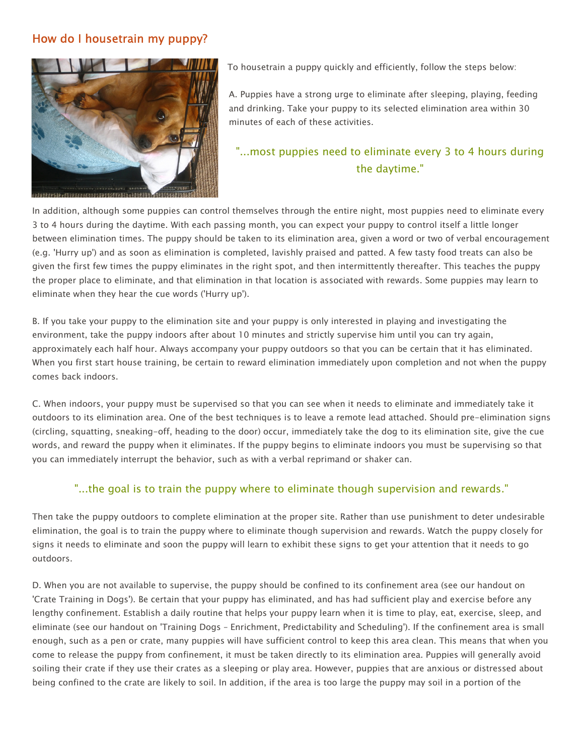## How do I housetrain my puppy?



To housetrain a puppy quickly and efficiently, follow the steps below:

A. Puppies have a strong urge to eliminate after sleeping, playing, feeding and drinking. Take your puppy to its selected elimination area within 30 minutes of each of these activities.

## "...most puppies need to eliminate every 3 to 4 hours during the daytime."

In addition, although some puppies can control themselves through the entire night, most puppies need to eliminate every 3 to 4 hours during the daytime. With each passing month, you can expect your puppy to control itself a little longer between elimination times. The puppy should be taken to its elimination area, given a word or two of verbal encouragement (e.g. 'Hurry up') and as soon as elimination is completed, lavishly praised and patted. A few tasty food treats can also be given the first few times the puppy eliminates in the right spot, and then intermittently thereafter. This teaches the puppy the proper place to eliminate, and that elimination in that location is associated with rewards. Some puppies may learn to eliminate when they hear the cue words ('Hurry up').

B. If you take your puppy to the elimination site and your puppy is only interested in playing and investigating the environment, take the puppy indoors after about 10 minutes and strictly supervise him until you can try again, approximately each half hour. Always accompany your puppy outdoors so that you can be certain that it has eliminated. When you first start house training, be certain to reward elimination immediately upon completion and not when the puppy comes back indoors.

C. When indoors, your puppy must be supervised so that you can see when it needs to eliminate and immediately take it outdoors to its elimination area. One of the best techniques is to leave a remote lead attached. Should pre-elimination signs (circling, squatting, sneaking-off, heading to the door) occur, immediately take the dog to its elimination site, give the cue words, and reward the puppy when it eliminates. If the puppy begins to eliminate indoors you must be supervising so that you can immediately interrupt the behavior, such as with a verbal reprimand or shaker can.

#### "...the goal is to train the puppy where to eliminate though supervision and rewards."

Then take the puppy outdoors to complete elimination at the proper site. Rather than use punishment to deter undesirable elimination, the goal is to train the puppy where to eliminate though supervision and rewards. Watch the puppy closely for signs it needs to eliminate and soon the puppy will learn to exhibit these signs to get your attention that it needs to go outdoors.

D. When you are not available to supervise, the puppy should be confined to its confinement area (see our handout on 'Crate Training in Dogs'). Be certain that your puppy has eliminated, and has had sufficient play and exercise before any lengthy confinement. Establish a daily routine that helps your puppy learn when it is time to play, eat, exercise, sleep, and eliminate (see our handout on 'Training Dogs – Enrichment, Predictability and Scheduling'). If the confinement area is small enough, such as a pen or crate, many puppies will have sufficient control to keep this area clean. This means that when you come to release the puppy from confinement, it must be taken directly to its elimination area. Puppies will generally avoid soiling their crate if they use their crates as a sleeping or play area. However, puppies that are anxious or distressed about being confined to the crate are likely to soil. In addition, if the area is too large the puppy may soil in a portion of the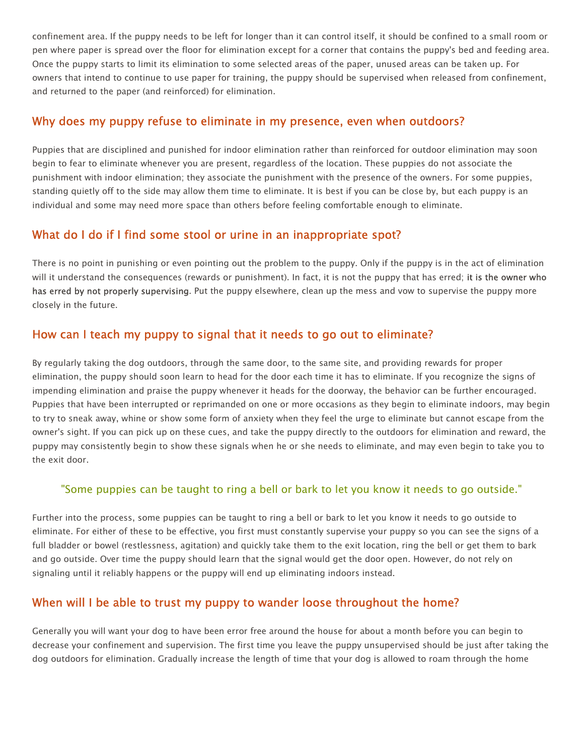confinement area. If the puppy needs to be left for longer than it can control itself, it should be confined to a small room or pen where paper is spread over the floor for elimination except for a corner that contains the puppy's bed and feeding area. Once the puppy starts to limit its elimination to some selected areas of the paper, unused areas can be taken up. For owners that intend to continue to use paper for training, the puppy should be supervised when released from confinement, and returned to the paper (and reinforced) for elimination.

#### Why does my puppy refuse to eliminate in my presence, even when outdoors?

Puppies that are disciplined and punished for indoor elimination rather than reinforced for outdoor elimination may soon begin to fear to eliminate whenever you are present, regardless of the location. These puppies do not associate the punishment with indoor elimination; they associate the punishment with the presence of the owners. For some puppies, standing quietly off to the side may allow them time to eliminate. It is best if you can be close by, but each puppy is an individual and some may need more space than others before feeling comfortable enough to eliminate.

## What do I do if I find some stool or urine in an inappropriate spot?

There is no point in punishing or even pointing out the problem to the puppy. Only if the puppy is in the act of elimination will it understand the consequences (rewards or punishment). In fact, it is not the puppy that has erred; it is the owner who has erred by not properly supervising. Put the puppy elsewhere, clean up the mess and vow to supervise the puppy more closely in the future.

### How can I teach my puppy to signal that it needs to go out to eliminate?

By regularly taking the dog outdoors, through the same door, to the same site, and providing rewards for proper elimination, the puppy should soon learn to head for the door each time it has to eliminate. If you recognize the signs of impending elimination and praise the puppy whenever it heads for the doorway, the behavior can be further encouraged. Puppies that have been interrupted or reprimanded on one or more occasions as they begin to eliminate indoors, may begin to try to sneak away, whine or show some form of anxiety when they feel the urge to eliminate but cannot escape from the owner's sight. If you can pick up on these cues, and take the puppy directly to the outdoors for elimination and reward, the puppy may consistently begin to show these signals when he or she needs to eliminate, and may even begin to take you to the exit door.

#### "Some puppies can be taught to ring a bell or bark to let you know it needs to go outside."

Further into the process, some puppies can be taught to ring a bell or bark to let you know it needs to go outside to eliminate. For either of these to be effective, you first must constantly supervise your puppy so you can see the signs of a full bladder or bowel (restlessness, agitation) and quickly take them to the exit location, ring the bell or get them to bark and go outside. Over time the puppy should learn that the signal would get the door open. However, do not rely on signaling until it reliably happens or the puppy will end up eliminating indoors instead.

## When will I be able to trust my puppy to wander loose throughout the home?

Generally you will want your dog to have been error free around the house for about a month before you can begin to decrease your confinement and supervision. The first time you leave the puppy unsupervised should be just after taking the dog outdoors for elimination. Gradually increase the length of time that your dog is allowed to roam through the home